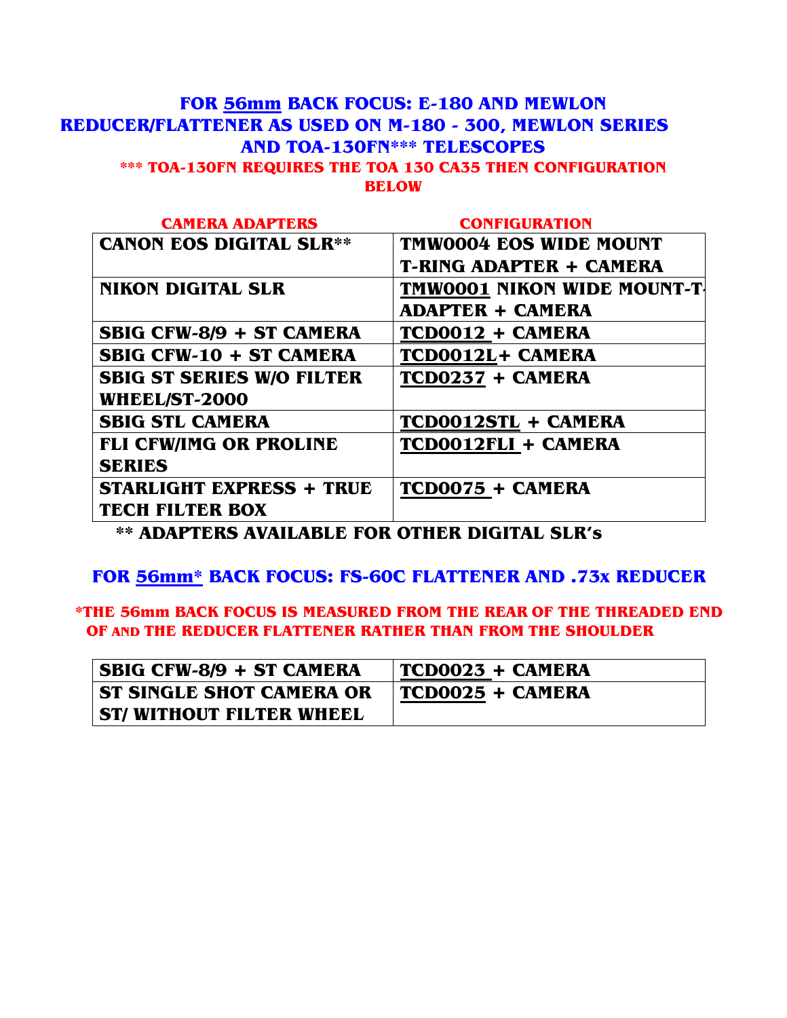### **FOR 56mm BACK FOCUS: E-180 AND MEWLON REDUCER/FLATTENER AS USED ON M-180 - 300, MEWLON SERIES AND TOA-130FN\*\*\* TELESCOPES \*\*\* TOA-130FN REQUIRES THE TOA 130 CA35 THEN CONFIGURATION BELOW**

| <b>CAMERA ADAPTERS</b>           | <b>CONFIGURATION</b>           |
|----------------------------------|--------------------------------|
| <b>CANON EOS DIGITAL SLR**</b>   | <b>TMW0004 EOS WIDE MOUNT</b>  |
|                                  | <b>T-RING ADAPTER + CAMERA</b> |
| <b>NIKON DIGITAL SLR</b>         | TMW0001 NIKON WIDE MOUNT-T     |
|                                  | <b>ADAPTER + CAMERA</b>        |
| <b>SBIG CFW-8/9 + ST CAMERA</b>  | TCD0012 + CAMERA               |
| <b>SBIG CFW-10 + ST CAMERA</b>   | TCD0012L+ CAMERA               |
| <b>SBIG ST SERIES W/O FILTER</b> | TCD0237 + CAMERA               |
| <b>WHEEL/ST-2000</b>             |                                |
| <b>SBIG STL CAMERA</b>           | TCD0012STL + CAMERA            |
| <b>FLI CFW/IMG OR PROLINE</b>    | TCD0012FLI + CAMERA            |
| <b>SERIES</b>                    |                                |
| <b>STARLIGHT EXPRESS + TRUE</b>  | TCD0075 + CAMERA               |
| <b>TECH FILTER BOX</b>           |                                |

**\*\* ADAPTERS AVAILABLE FOR OTHER DIGITAL SLR's** 

### **FOR 56mm\* BACK FOCUS: FS-60C FLATTENER AND .73x REDUCER**

**\*THE 56mm BACK FOCUS IS MEASURED FROM THE REAR OF THE THREADED END OF AND THE REDUCER FLATTENER RATHER THAN FROM THE SHOULDER** 

| SBIG CFW-8/9 + ST CAMERA       | TCD0023 + CAMERA |
|--------------------------------|------------------|
| ST SINGLE SHOT CAMERA OR       | TCD0025 + CAMERA |
| <b>ST/WITHOUT FILTER WHEEL</b> |                  |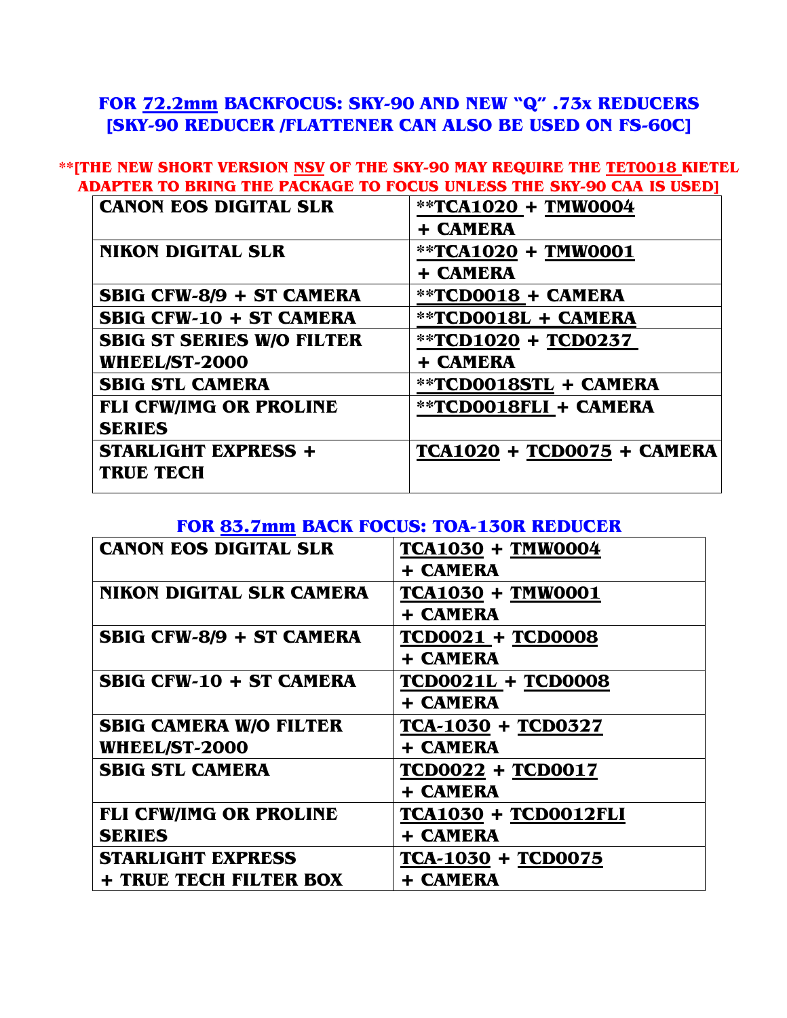# **FOR 72.2mm BACKFOCUS: SKY-90 AND NEW "Q" .73x REDUCERS [SKY-90 REDUCER /FLATTENER CAN ALSO BE USED ON FS-60C]**

#### **\*\*[THE NEW SHORT VERSION NSV OF THE SKY-90 MAY REQUIRE THE TET0018 KIETEL ADAPTER TO BRING THE PACKAGE TO FOCUS UNLESS THE SKY-90 CAA IS USED]**

| <b>CANON EOS DIGITAL SLR</b>     | **TCA1020 + TMW0004        |
|----------------------------------|----------------------------|
|                                  | + CAMERA                   |
| <b>NIKON DIGITAL SLR</b>         | **TCA1020 + TMW0001        |
|                                  | + CAMERA                   |
| SBIG CFW-8/9 + ST CAMERA         | **TCD0018 + CAMERA         |
| <b>SBIG CFW-10 + ST CAMERA</b>   | **TCD0018L + CAMERA        |
| <b>SBIG ST SERIES W/O FILTER</b> | **TCD1020 + TCD0237        |
| <b>WHEEL/ST-2000</b>             | + CAMERA                   |
| <b>SBIG STL CAMERA</b>           | **TCD0018STL + CAMERA      |
| <b>FLI CFW/IMG OR PROLINE</b>    | **TCD0018FLI + CAMERA      |
| <b>SERIES</b>                    |                            |
| <b>STARLIGHT EXPRESS +</b>       | TCA1020 + TCD0075 + CAMERA |
| <b>TRUE TECH</b>                 |                            |

#### **FOR 83.7mm BACK FOCUS: TOA-130R REDUCER**

| <b>CANON EOS DIGITAL SLR</b>    | <b>TCA1030 + TMW0004</b>    |
|---------------------------------|-----------------------------|
|                                 | <b>+ CAMERA</b>             |
| <b>NIKON DIGITAL SLR CAMERA</b> | <b>TCA1030 + TMW0001</b>    |
|                                 | <b>+ CAMERA</b>             |
| <b>SBIG CFW-8/9 + ST CAMERA</b> | <b>TCD0021 + TCD0008</b>    |
|                                 | + CAMERA                    |
| <b>SBIG CFW-10 + ST CAMERA</b>  | <b>TCD0021L + TCD0008</b>   |
|                                 | <b>+ CAMERA</b>             |
| <b>SBIG CAMERA W/O FILTER</b>   | TCA-1030 + TCD0327          |
| <b>WHEEL/ST-2000</b>            | <b>+ CAMERA</b>             |
| <b>SBIG STL CAMERA</b>          | <b>TCD0022 + TCD0017</b>    |
|                                 | <b>+ CAMERA</b>             |
| <b>FLI CFW/IMG OR PROLINE</b>   | <b>TCA1030 + TCD0012FLI</b> |
| <b>SERIES</b>                   | + CAMERA                    |
| <b>STARLIGHT EXPRESS</b>        | TCA-1030 + TCD0075          |
| + TRUE TECH FILTER BOX          | <b>+ CAMERA</b>             |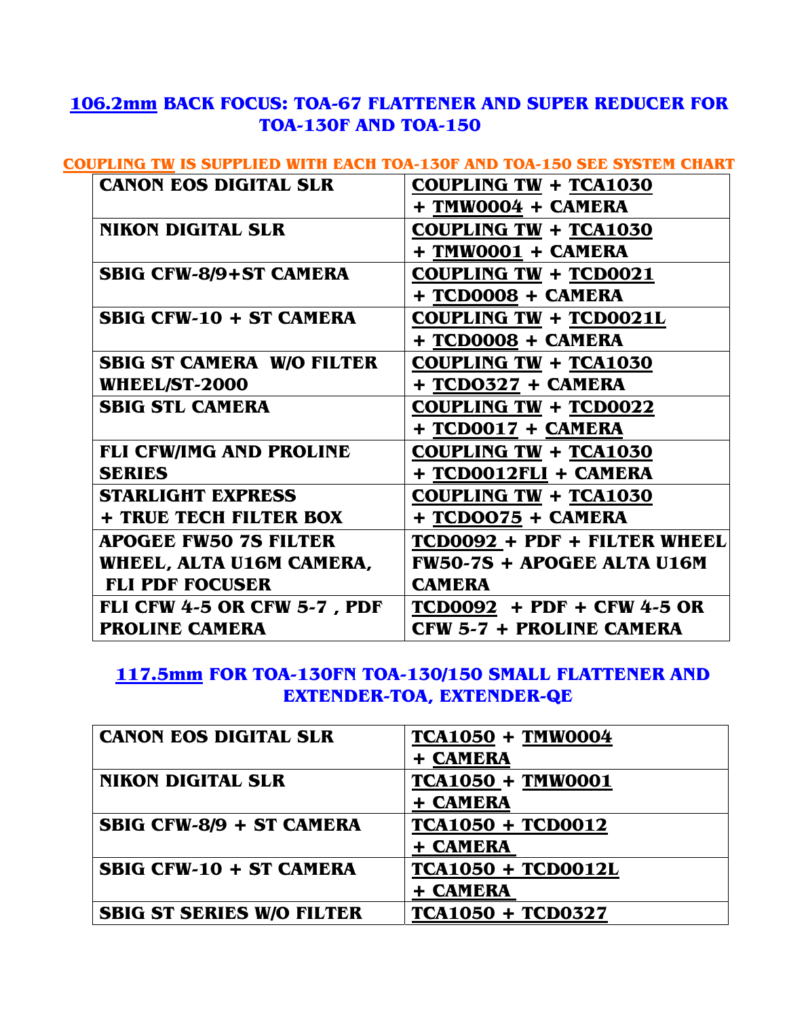# **106.2mm BACK FOCUS: TOA-67 FLATTENER AND SUPER REDUCER FOR TOA-130F AND TOA-150**

### **COUPLING TW IS SUPPLIED WITH EACH TOA-130F AND TOA-150 SEE SYSTEM CHART**

| <b>CANON EOS DIGITAL SLR</b>       | <b>COUPLING TW + TCA1030</b>      |
|------------------------------------|-----------------------------------|
|                                    | + TMW0004 + CAMERA                |
| <b>NIKON DIGITAL SLR</b>           | COUPLING TW + TCA1030             |
|                                    | + TMW0001 + CAMERA                |
| <b>SBIG CFW-8/9+ST CAMERA</b>      | <b>COUPLING TW + TCD0021</b>      |
|                                    | + TCD0008 + CAMERA                |
| <b>SBIG CFW-10 + ST CAMERA</b>     | COUPLING TW + TCD0021L            |
|                                    | + TCD0008 + CAMERA                |
| <b>SBIG ST CAMERA W/O FILTER</b>   | <b>COUPLING TW + TCA1030</b>      |
| <b>WHEEL/ST-2000</b>               | + TCD0327 + CAMERA                |
| <b>SBIG STL CAMERA</b>             | <b>COUPLING TW + TCD0022</b>      |
|                                    | + TCD0017 + CAMERA                |
| <b>FLI CFW/IMG AND PROLINE</b>     | <b>COUPLING TW + TCA1030</b>      |
| <b>SERIES</b>                      | + TCD0012FLI + CAMERA             |
| <b>STARLIGHT EXPRESS</b>           | <b>COUPLING TW + TCA1030</b>      |
| + TRUE TECH FILTER BOX             | + TCDOO75 + CAMERA                |
| APOGEE FW50 7S FILTER              | TCD0092 + PDF + FILTER WHEEL      |
| WHEEL, ALTA U16M CAMERA,           | <b>FW50-7S + APOGEE ALTA U16M</b> |
| <b>FLI PDF FOCUSER</b>             | <b>CAMERA</b>                     |
| <b>FLI CFW 4-5 OR CFW 5-7, PDF</b> | $TCD0092$ + PDF + CFW 4-5 OR      |
| <b>PROLINE CAMERA</b>              | CFW 5-7 + PROLINE CAMERA          |

# **117.5mm FOR TOA-130FN TOA-130/150 SMALL FLATTENER AND EXTENDER-TOA, EXTENDER-QE**

| <b>CANON EOS DIGITAL SLR</b>     | <b>TCA1050 + TMW0004</b>  |
|----------------------------------|---------------------------|
|                                  | + CAMERA                  |
| <b>NIKON DIGITAL SLR</b>         | <b>TCA1050 + TMW0001</b>  |
|                                  | + CAMERA                  |
| SBIG CFW-8/9 + ST CAMERA         | <b>TCA1050 + TCD0012</b>  |
|                                  | + CAMERA                  |
| <b>SBIG CFW-10 + ST CAMERA</b>   | <b>TCA1050 + TCD0012L</b> |
|                                  | + CAMERA                  |
| <b>SBIG ST SERIES W/O FILTER</b> | <b>TCA1050 + TCD0327</b>  |
|                                  |                           |